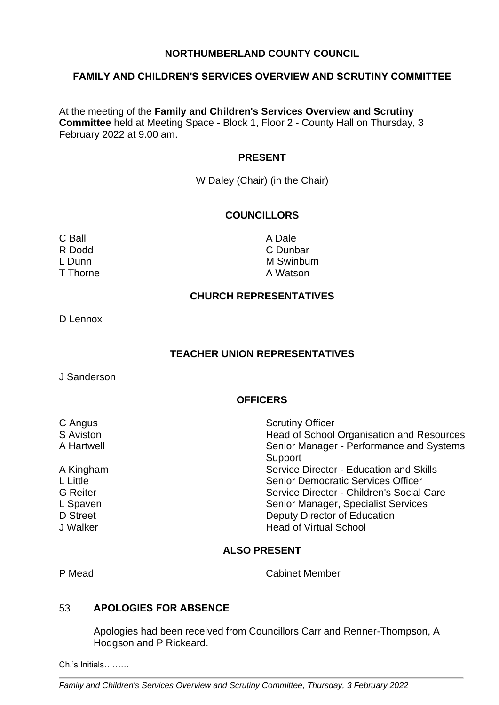## **NORTHUMBERLAND COUNTY COUNCIL**

### **FAMILY AND CHILDREN'S SERVICES OVERVIEW AND SCRUTINY COMMITTEE**

At the meeting of the **Family and Children's Services Overview and Scrutiny Committee** held at Meeting Space - Block 1, Floor 2 - County Hall on Thursday, 3 February 2022 at 9.00 am.

#### **PRESENT**

W Daley (Chair) (in the Chair)

# **COUNCILLORS**

C Ball **C** Ball **A Dale** 

R Dodd C Dunbar L Dunn M Swinburn M Swinburn M Swinburn M Swinburn M Swinburn M Swinburn M Swinburn M Swinburn M Swinburn M Swinburn M Swinburn M Swinburn M Swinburn M Swinburn M Swinburn M Swinburn M Swinburn M Swinburn M Swinburn M Swin T Thorne **A Watson** 

### **CHURCH REPRESENTATIVES**

D Lennox

## **TEACHER UNION REPRESENTATIVES**

J Sanderson

# **OFFICERS**

| C Angus         | <b>Scrutiny Officer</b>                   |
|-----------------|-------------------------------------------|
| S Aviston       | Head of School Organisation and Resources |
| A Hartwell      | Senior Manager - Performance and Systems  |
|                 | Support                                   |
| A Kingham       | Service Director - Education and Skills   |
| L Little        | <b>Senior Democratic Services Officer</b> |
| <b>G</b> Reiter | Service Director - Children's Social Care |
| L Spaven        | Senior Manager, Specialist Services       |
| D Street        | Deputy Director of Education              |
| J Walker        | <b>Head of Virtual School</b>             |

## **ALSO PRESENT**

P Mead Cabinet Member

### 53 **APOLOGIES FOR ABSENCE**

Apologies had been received from Councillors Carr and Renner-Thompson, A Hodgson and P Rickeard.

Ch.'s Initials………

*Family and Children's Services Overview and Scrutiny Committee, Thursday, 3 February 2022*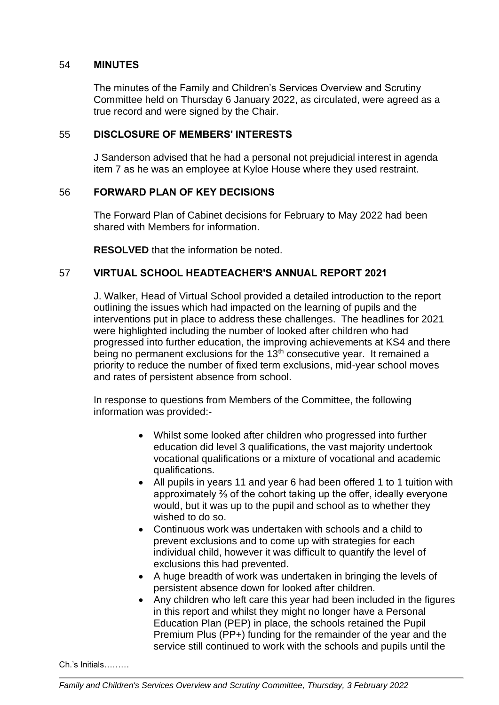## 54 **MINUTES**

The minutes of the Family and Children's Services Overview and Scrutiny Committee held on Thursday 6 January 2022, as circulated, were agreed as a true record and were signed by the Chair.

## 55 **DISCLOSURE OF MEMBERS' INTERESTS**

J Sanderson advised that he had a personal not prejudicial interest in agenda item 7 as he was an employee at Kyloe House where they used restraint.

# 56 **FORWARD PLAN OF KEY DECISIONS**

The Forward Plan of Cabinet decisions for February to May 2022 had been shared with Members for information.

**RESOLVED** that the information be noted.

# 57 **VIRTUAL SCHOOL HEADTEACHER'S ANNUAL REPORT 2021**

J. Walker, Head of Virtual School provided a detailed introduction to the report outlining the issues which had impacted on the learning of pupils and the interventions put in place to address these challenges. The headlines for 2021 were highlighted including the number of looked after children who had progressed into further education, the improving achievements at KS4 and there being no permanent exclusions for the  $13<sup>th</sup>$  consecutive year. It remained a priority to reduce the number of fixed term exclusions, mid-year school moves and rates of persistent absence from school.

In response to questions from Members of the Committee, the following information was provided:-

- Whilst some looked after children who progressed into further education did level 3 qualifications, the vast majority undertook vocational qualifications or a mixture of vocational and academic qualifications.
- All pupils in years 11 and year 6 had been offered 1 to 1 tuition with approximately ⅔ of the cohort taking up the offer, ideally everyone would, but it was up to the pupil and school as to whether they wished to do so.
- Continuous work was undertaken with schools and a child to prevent exclusions and to come up with strategies for each individual child, however it was difficult to quantify the level of exclusions this had prevented.
- A huge breadth of work was undertaken in bringing the levels of persistent absence down for looked after children.
- Any children who left care this year had been included in the figures in this report and whilst they might no longer have a Personal Education Plan (PEP) in place, the schools retained the Pupil Premium Plus (PP+) funding for the remainder of the year and the service still continued to work with the schools and pupils until the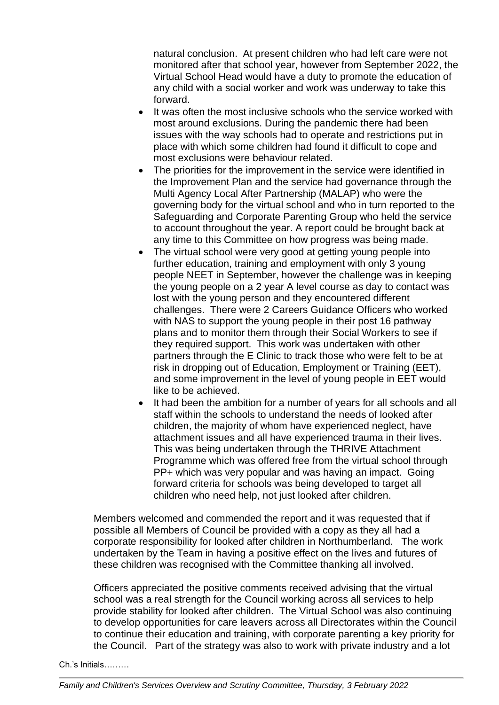natural conclusion. At present children who had left care were not monitored after that school year, however from September 2022, the Virtual School Head would have a duty to promote the education of any child with a social worker and work was underway to take this forward.

- It was often the most inclusive schools who the service worked with most around exclusions. During the pandemic there had been issues with the way schools had to operate and restrictions put in place with which some children had found it difficult to cope and most exclusions were behaviour related.
- The priorities for the improvement in the service were identified in the Improvement Plan and the service had governance through the Multi Agency Local After Partnership (MALAP) who were the governing body for the virtual school and who in turn reported to the Safeguarding and Corporate Parenting Group who held the service to account throughout the year. A report could be brought back at any time to this Committee on how progress was being made.
- The virtual school were very good at getting young people into further education, training and employment with only 3 young people NEET in September, however the challenge was in keeping the young people on a 2 year A level course as day to contact was lost with the young person and they encountered different challenges. There were 2 Careers Guidance Officers who worked with NAS to support the young people in their post 16 pathway plans and to monitor them through their Social Workers to see if they required support. This work was undertaken with other partners through the E Clinic to track those who were felt to be at risk in dropping out of Education, Employment or Training (EET), and some improvement in the level of young people in EET would like to be achieved.
- It had been the ambition for a number of years for all schools and all staff within the schools to understand the needs of looked after children, the majority of whom have experienced neglect, have attachment issues and all have experienced trauma in their lives. This was being undertaken through the THRIVE Attachment Programme which was offered free from the virtual school through PP+ which was very popular and was having an impact. Going forward criteria for schools was being developed to target all children who need help, not just looked after children.

Members welcomed and commended the report and it was requested that if possible all Members of Council be provided with a copy as they all had a corporate responsibility for looked after children in Northumberland. The work undertaken by the Team in having a positive effect on the lives and futures of these children was recognised with the Committee thanking all involved.

Officers appreciated the positive comments received advising that the virtual school was a real strength for the Council working across all services to help provide stability for looked after children. The Virtual School was also continuing to develop opportunities for care leavers across all Directorates within the Council to continue their education and training, with corporate parenting a key priority for the Council. Part of the strategy was also to work with private industry and a lot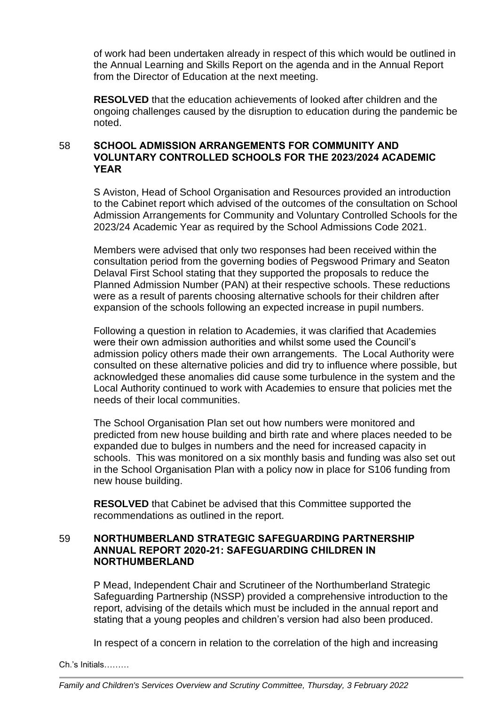of work had been undertaken already in respect of this which would be outlined in the Annual Learning and Skills Report on the agenda and in the Annual Report from the Director of Education at the next meeting.

**RESOLVED** that the education achievements of looked after children and the ongoing challenges caused by the disruption to education during the pandemic be noted.

# 58 **SCHOOL ADMISSION ARRANGEMENTS FOR COMMUNITY AND VOLUNTARY CONTROLLED SCHOOLS FOR THE 2023/2024 ACADEMIC YEAR**

S Aviston, Head of School Organisation and Resources provided an introduction to the Cabinet report which advised of the outcomes of the consultation on School Admission Arrangements for Community and Voluntary Controlled Schools for the 2023/24 Academic Year as required by the School Admissions Code 2021.

Members were advised that only two responses had been received within the consultation period from the governing bodies of Pegswood Primary and Seaton Delaval First School stating that they supported the proposals to reduce the Planned Admission Number (PAN) at their respective schools. These reductions were as a result of parents choosing alternative schools for their children after expansion of the schools following an expected increase in pupil numbers.

Following a question in relation to Academies, it was clarified that Academies were their own admission authorities and whilst some used the Council's admission policy others made their own arrangements. The Local Authority were consulted on these alternative policies and did try to influence where possible, but acknowledged these anomalies did cause some turbulence in the system and the Local Authority continued to work with Academies to ensure that policies met the needs of their local communities.

The School Organisation Plan set out how numbers were monitored and predicted from new house building and birth rate and where places needed to be expanded due to bulges in numbers and the need for increased capacity in schools. This was monitored on a six monthly basis and funding was also set out in the School Organisation Plan with a policy now in place for S106 funding from new house building.

**RESOLVED** that Cabinet be advised that this Committee supported the recommendations as outlined in the report.

# 59 **NORTHUMBERLAND STRATEGIC SAFEGUARDING PARTNERSHIP ANNUAL REPORT 2020-21: SAFEGUARDING CHILDREN IN NORTHUMBERLAND**

P Mead, Independent Chair and Scrutineer of the Northumberland Strategic Safeguarding Partnership (NSSP) provided a comprehensive introduction to the report, advising of the details which must be included in the annual report and stating that a young peoples and children's version had also been produced.

In respect of a concern in relation to the correlation of the high and increasing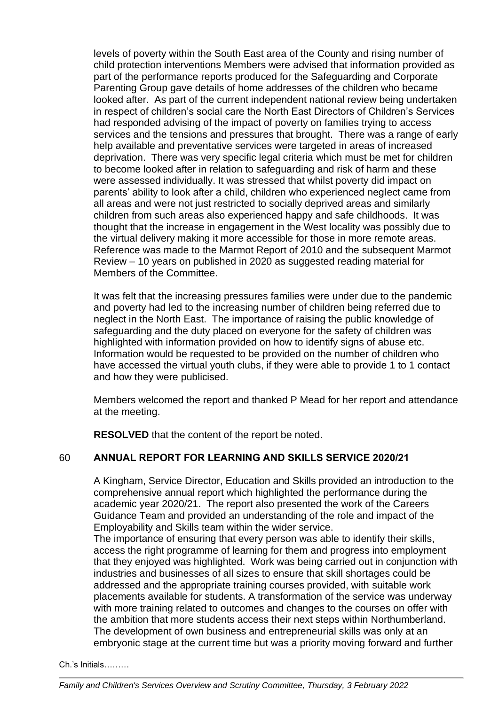levels of poverty within the South East area of the County and rising number of child protection interventions Members were advised that information provided as part of the performance reports produced for the Safeguarding and Corporate Parenting Group gave details of home addresses of the children who became looked after. As part of the current independent national review being undertaken in respect of children's social care the North East Directors of Children's Services had responded advising of the impact of poverty on families trying to access services and the tensions and pressures that brought. There was a range of early help available and preventative services were targeted in areas of increased deprivation. There was very specific legal criteria which must be met for children to become looked after in relation to safeguarding and risk of harm and these were assessed individually. It was stressed that whilst poverty did impact on parents' ability to look after a child, children who experienced neglect came from all areas and were not just restricted to socially deprived areas and similarly children from such areas also experienced happy and safe childhoods. It was thought that the increase in engagement in the West locality was possibly due to the virtual delivery making it more accessible for those in more remote areas. Reference was made to the Marmot Report of 2010 and the subsequent Marmot Review – 10 years on published in 2020 as suggested reading material for Members of the Committee.

It was felt that the increasing pressures families were under due to the pandemic and poverty had led to the increasing number of children being referred due to neglect in the North East. The importance of raising the public knowledge of safeguarding and the duty placed on everyone for the safety of children was highlighted with information provided on how to identify signs of abuse etc. Information would be requested to be provided on the number of children who have accessed the virtual youth clubs, if they were able to provide 1 to 1 contact and how they were publicised.

Members welcomed the report and thanked P Mead for her report and attendance at the meeting.

**RESOLVED** that the content of the report be noted.

# 60 **ANNUAL REPORT FOR LEARNING AND SKILLS SERVICE 2020/21**

A Kingham, Service Director, Education and Skills provided an introduction to the comprehensive annual report which highlighted the performance during the academic year 2020/21. The report also presented the work of the Careers Guidance Team and provided an understanding of the role and impact of the Employability and Skills team within the wider service.

The importance of ensuring that every person was able to identify their skills, access the right programme of learning for them and progress into employment that they enjoyed was highlighted. Work was being carried out in conjunction with industries and businesses of all sizes to ensure that skill shortages could be addressed and the appropriate training courses provided, with suitable work placements available for students. A transformation of the service was underway with more training related to outcomes and changes to the courses on offer with the ambition that more students access their next steps within Northumberland. The development of own business and entrepreneurial skills was only at an embryonic stage at the current time but was a priority moving forward and further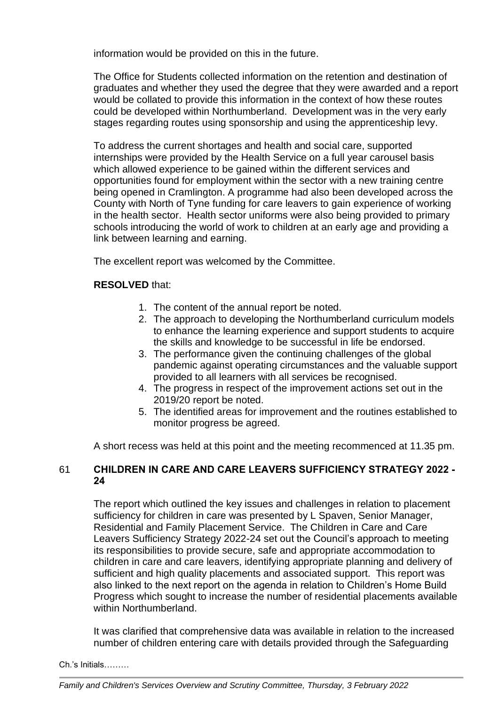information would be provided on this in the future.

The Office for Students collected information on the retention and destination of graduates and whether they used the degree that they were awarded and a report would be collated to provide this information in the context of how these routes could be developed within Northumberland. Development was in the very early stages regarding routes using sponsorship and using the apprenticeship levy.

To address the current shortages and health and social care, supported internships were provided by the Health Service on a full year carousel basis which allowed experience to be gained within the different services and opportunities found for employment within the sector with a new training centre being opened in Cramlington. A programme had also been developed across the County with North of Tyne funding for care leavers to gain experience of working in the health sector. Health sector uniforms were also being provided to primary schools introducing the world of work to children at an early age and providing a link between learning and earning.

The excellent report was welcomed by the Committee.

## **RESOLVED** that:

- 1. The content of the annual report be noted.
- 2. The approach to developing the Northumberland curriculum models to enhance the learning experience and support students to acquire the skills and knowledge to be successful in life be endorsed.
- 3. The performance given the continuing challenges of the global pandemic against operating circumstances and the valuable support provided to all learners with all services be recognised.
- 4. The progress in respect of the improvement actions set out in the 2019/20 report be noted.
- 5. The identified areas for improvement and the routines established to monitor progress be agreed.

A short recess was held at this point and the meeting recommenced at 11.35 pm.

# 61 **CHILDREN IN CARE AND CARE LEAVERS SUFFICIENCY STRATEGY 2022 - 24**

The report which outlined the key issues and challenges in relation to placement sufficiency for children in care was presented by L Spaven, Senior Manager, Residential and Family Placement Service. The Children in Care and Care Leavers Sufficiency Strategy 2022-24 set out the Council's approach to meeting its responsibilities to provide secure, safe and appropriate accommodation to children in care and care leavers, identifying appropriate planning and delivery of sufficient and high quality placements and associated support. This report was also linked to the next report on the agenda in relation to Children's Home Build Progress which sought to increase the number of residential placements available within Northumberland.

It was clarified that comprehensive data was available in relation to the increased number of children entering care with details provided through the Safeguarding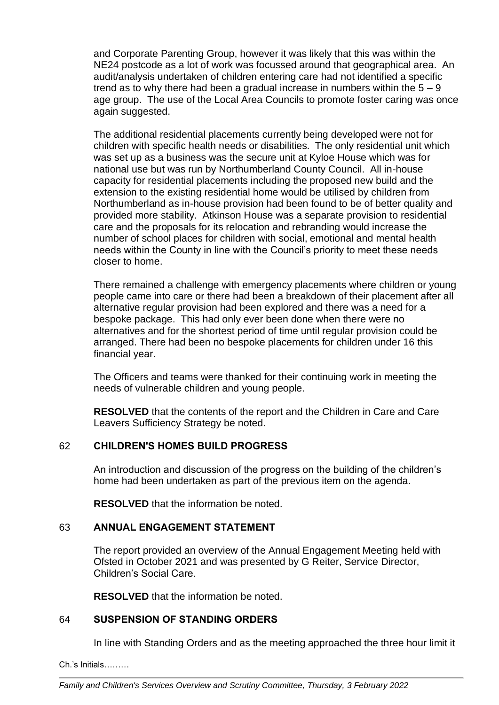and Corporate Parenting Group, however it was likely that this was within the NE24 postcode as a lot of work was focussed around that geographical area. An audit/analysis undertaken of children entering care had not identified a specific trend as to why there had been a gradual increase in numbers within the  $5 - 9$ age group. The use of the Local Area Councils to promote foster caring was once again suggested.

The additional residential placements currently being developed were not for children with specific health needs or disabilities. The only residential unit which was set up as a business was the secure unit at Kyloe House which was for national use but was run by Northumberland County Council. All in-house capacity for residential placements including the proposed new build and the extension to the existing residential home would be utilised by children from Northumberland as in-house provision had been found to be of better quality and provided more stability. Atkinson House was a separate provision to residential care and the proposals for its relocation and rebranding would increase the number of school places for children with social, emotional and mental health needs within the County in line with the Council's priority to meet these needs closer to home.

There remained a challenge with emergency placements where children or young people came into care or there had been a breakdown of their placement after all alternative regular provision had been explored and there was a need for a bespoke package. This had only ever been done when there were no alternatives and for the shortest period of time until regular provision could be arranged. There had been no bespoke placements for children under 16 this financial year.

The Officers and teams were thanked for their continuing work in meeting the needs of vulnerable children and young people.

**RESOLVED** that the contents of the report and the Children in Care and Care Leavers Sufficiency Strategy be noted.

# 62 **CHILDREN'S HOMES BUILD PROGRESS**

An introduction and discussion of the progress on the building of the children's home had been undertaken as part of the previous item on the agenda.

**RESOLVED** that the information be noted.

# 63 **ANNUAL ENGAGEMENT STATEMENT**

The report provided an overview of the Annual Engagement Meeting held with Ofsted in October 2021 and was presented by G Reiter, Service Director, Children's Social Care.

**RESOLVED** that the information be noted.

# 64 **SUSPENSION OF STANDING ORDERS**

In line with Standing Orders and as the meeting approached the three hour limit it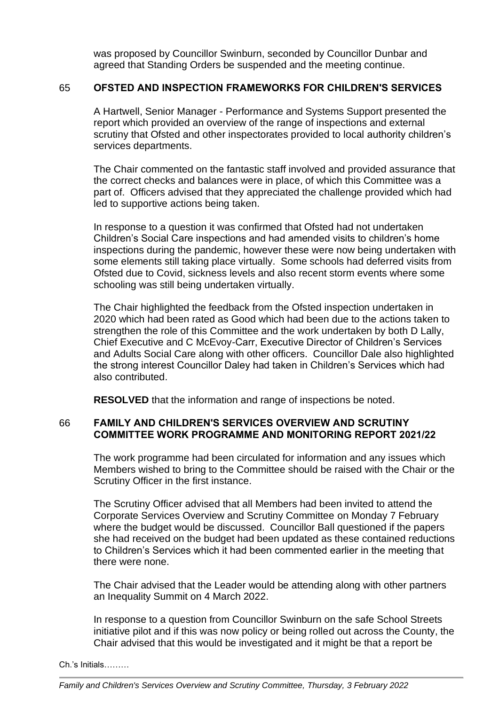was proposed by Councillor Swinburn, seconded by Councillor Dunbar and agreed that Standing Orders be suspended and the meeting continue.

## 65 **OFSTED AND INSPECTION FRAMEWORKS FOR CHILDREN'S SERVICES**

A Hartwell, Senior Manager - Performance and Systems Support presented the report which provided an overview of the range of inspections and external scrutiny that Ofsted and other inspectorates provided to local authority children's services departments.

The Chair commented on the fantastic staff involved and provided assurance that the correct checks and balances were in place, of which this Committee was a part of. Officers advised that they appreciated the challenge provided which had led to supportive actions being taken.

In response to a question it was confirmed that Ofsted had not undertaken Children's Social Care inspections and had amended visits to children's home inspections during the pandemic, however these were now being undertaken with some elements still taking place virtually. Some schools had deferred visits from Ofsted due to Covid, sickness levels and also recent storm events where some schooling was still being undertaken virtually.

The Chair highlighted the feedback from the Ofsted inspection undertaken in 2020 which had been rated as Good which had been due to the actions taken to strengthen the role of this Committee and the work undertaken by both D Lally, Chief Executive and C McEvoy-Carr, Executive Director of Children's Services and Adults Social Care along with other officers. Councillor Dale also highlighted the strong interest Councillor Daley had taken in Children's Services which had also contributed.

**RESOLVED** that the information and range of inspections be noted.

# 66 **FAMILY AND CHILDREN'S SERVICES OVERVIEW AND SCRUTINY COMMITTEE WORK PROGRAMME AND MONITORING REPORT 2021/22**

The work programme had been circulated for information and any issues which Members wished to bring to the Committee should be raised with the Chair or the Scrutiny Officer in the first instance.

The Scrutiny Officer advised that all Members had been invited to attend the Corporate Services Overview and Scrutiny Committee on Monday 7 February where the budget would be discussed. Councillor Ball questioned if the papers she had received on the budget had been updated as these contained reductions to Children's Services which it had been commented earlier in the meeting that there were none.

The Chair advised that the Leader would be attending along with other partners an Inequality Summit on 4 March 2022.

In response to a question from Councillor Swinburn on the safe School Streets initiative pilot and if this was now policy or being rolled out across the County, the Chair advised that this would be investigated and it might be that a report be